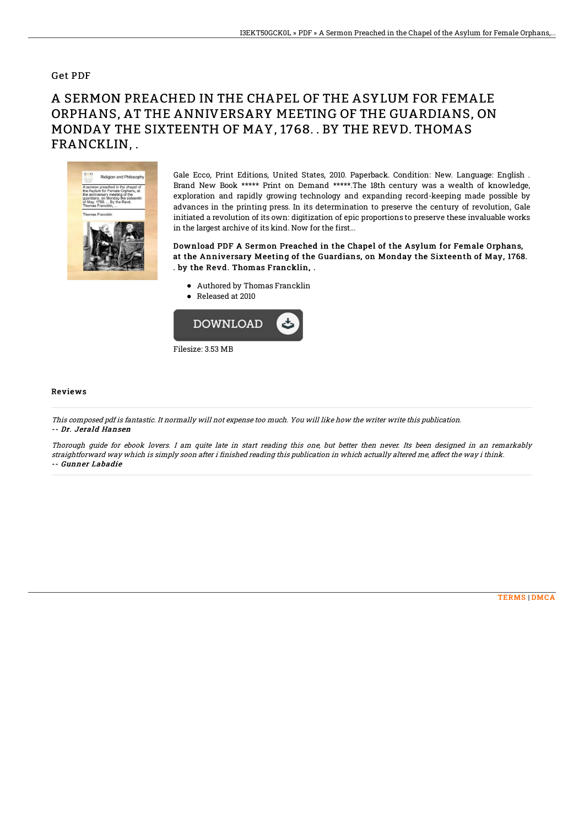### Get PDF

# A SERMON PREACHED IN THE CHAPEL OF THE ASYLUM FOR FEMALE ORPHANS, AT THE ANNIVERSARY MEETING OF THE GUARDIANS, ON MONDAY THE SIXTEENTH OF MAY, 1768. . BY THE REVD. THOMAS FRANCKLIN, .



Gale Ecco, Print Editions, United States, 2010. Paperback. Condition: New. Language: English . Brand New Book \*\*\*\*\* Print on Demand \*\*\*\*\*.The 18th century was a wealth of knowledge, exploration and rapidly growing technology and expanding record-keeping made possible by advances in the printing press. In its determination to preserve the century of revolution, Gale initiated a revolution of its own: digitization of epic proportions to preserve these invaluable works in the largest archive of its kind. Now for the first...

#### Download PDF A Sermon Preached in the Chapel of the Asylum for Female Orphans, at the Anniversary Meeting of the Guardians, on Monday the Sixteenth of May, 1768. . by the Revd. Thomas Francklin, .

- Authored by Thomas Francklin
- Released at 2010



#### Reviews

This composed pdf is fantastic. It normally will not expense too much. You will like how the writer write this publication. -- Dr. Jerald Hansen

Thorough guide for ebook lovers. I am quite late in start reading this one, but better then never. Its been designed in an remarkably straightforward way which is simply soon after i finished reading this publication in which actually altered me, affect the way i think. -- Gunner Labadie